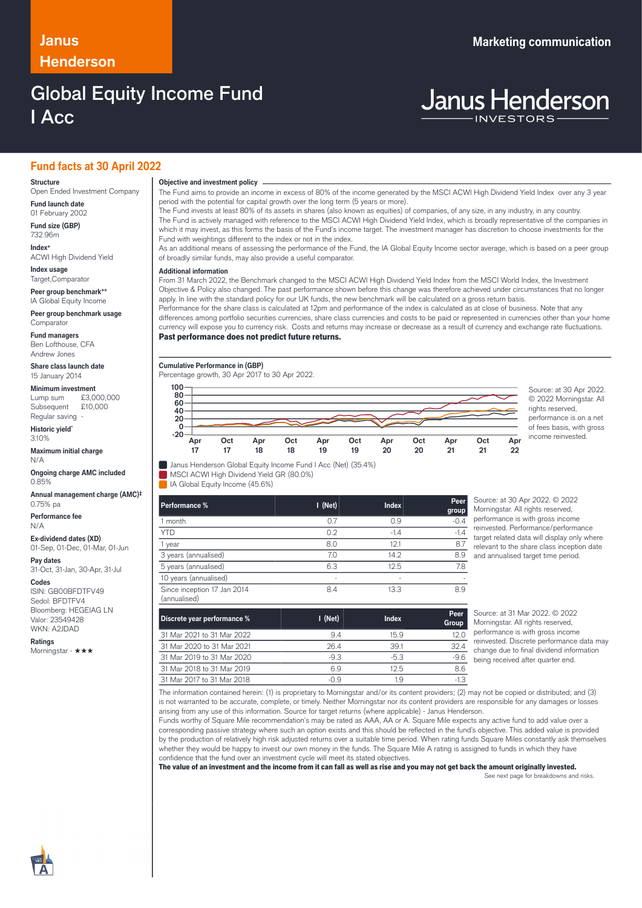# **Henderson**

## Global Equity Income Fund I Acc

## **Janus Marketing communication**

# **Janus Henderson**

## **Fund facts at 30 April 2022**

### **Structure**

Open Ended Investment Company **Fund launch date**

01 February 2002 **Fund size (GBP)**

732.96m **Index+** ACWI High Dividend Yield

**Index usage**

Target,Comparator **Peer group benchmark++**

IA Global Equity Income **Peer group benchmark usage Comparator** 

**Fund managers** Ben Lofthouse, CFA

Andrew Jones **Share class launch date** 15 January 2014

## **Minimum investment**

Lump sum £3,000,000 Subsequent £10,000 Regular saving

**Historic yield\*** 3.10%

**Maximum initial charge** N/A

**Ongoing charge AMC included** 0.85%

**Annual management charge (AMC)‡** 0.75% pa

**Performance fee** N/A

**Ex-dividend dates (XD)** 01-Sep, 01-Dec, 01-Mar, 01-Jun

**Pay dates** 31-Oct, 31-Jan, 30-Apr, 31-Jul

**Codes**

ISIN: GB00BFDTFV49 Sedol: BFDTFV4 Bloomberg: HEGEIAG LN Valor: 23549428 WKN: A2JDAD

**Ratings** Morningstar - ★★★ **Objective and investment policy** ────────────────────────────────────────────────────────────────────────────────────────────────────────────────────────────────────────────────────────────────────────────────────────────────────────────────────────────────────────────────────────────────────────────────────────────────────────────────────────────────────────────────────────────────────────────────────────────────────────────────────────────────────────────────────────────────────────────────────────────────────────────────────

The Fund aims to provide an income in excess of 80% of the income generated by the MSCI ACWI High Dividend Yield Index over any 3 year period with the potential for capital growth over the long term (5 years or more).

The Fund invests at least 80% of its assets in shares (also known as equities) of companies, of any size, in any industry, in any country. The Fund is actively managed with reference to the MSCI ACWI High Dividend Yield Index, which is broadly representative of the companies in which it may invest, as this forms the basis of the Fund's income target. The investment manager has discretion to choose investments for the Fund with weightings different to the index or not in the index.

As an additional means of assessing the performance of the Fund, the IA Global Equity Income sector average, which is based on a peer group of broadly similar funds, may also provide a useful comparator.

## … **Additional information**

From 31 March 2022, the Benchmark changed to the MSCI ACWI High Dividend Yield Index from the MSCI World Index, the Investment Objective & Policy also changed. The past performance shown before this change was therefore achieved under circumstances that no longer apply. In line with the standard policy for our UK funds, the new benchmark will be calculated on a gross return basis. Performance for the share class is calculated at 12pm and performance of the index is calculated as at close of business. Note that any

differences among portfolio securities currencies, share class currencies and costs to be paid or represented in currencies other than your home currency will expose you to currency risk. Costs and returns may increase or decrease as a result of currency and exchange rate fluctuations.

## Past performance does not predict future returns.

**Cumulative Performance in (GBP)**

**Apr 17**

Percentage growth, 30 Apr 2017 to 30 Apr 2022.

MSCI ACWI High Dividend Yield GR (80.0%)

**Apr 18**

**Oct 18**

IA Global Equity Income (45.6%)

**Oct 17**



© 2022 Morningstar. All rights reserved, performance is on a net of fees basis, with gross income reinvested.

| Performance %                               | I (Net) | <b>Index</b> | Peer<br>group |
|---------------------------------------------|---------|--------------|---------------|
| 1 month                                     | 0.7     | 0.9          | $-0.4$        |
| <b>YTD</b>                                  | 0.2     | $-1.4$       | $-1.4$        |
| 1 year                                      | 8.0     | 12.1         | 8.7           |
| 3 years (annualised)                        | 7.0     | 14.2         | 8.9           |
| 5 years (annualised)                        | 6.3     | 12.5         | 7.8           |
| 10 years (annualised)                       | ٠       | ٠            |               |
| Since inception 17 Jan 2014<br>(annualised) | 8.4     | 13.3         | 8.9           |

Source: at 30 Apr 2022. © 2022 Morningstar. All rights reserved, performance is with gross income reinvested. Performance/performance target related data will display only where relevant to the share class inception date and annualised target time period.

| Discrete year performance % | $\blacksquare$ (Net) | <b>Index</b> | Peer<br>Group |
|-----------------------------|----------------------|--------------|---------------|
| 31 Mar 2021 to 31 Mar 2022  | 9.4                  | 15.9         | 12.0          |
| 31 Mar 2020 to 31 Mar 2021  | 26.4                 | 39.1         | 32.4          |
| 31 Mar 2019 to 31 Mar 2020  | $-9.3$               | $-5.3$       | $-9.6$        |
| 31 Mar 2018 to 31 Mar 2019  | 69                   | 125          | 8.6           |
| 31 Mar 2017 to 31 Mar 2018  | -0.9                 | 1.9          | $-1.3$        |

Source: at 31 Mar 2022. © 2022 Morningstar. All rights reserved, performance is with gross income reinvested. Discrete performance data may change due to final dividend information being received after quarter end.

The information contained herein: (1) is proprietary to Morningstar and/or its content providers; (2) may not be copied or distributed; and (3) is not warranted to be accurate, complete, or timely. Neither Morningstar nor its content providers are responsible for any damages or losses arising from any use of this information. Source for target returns (where applicable) - Janus Henderson.

Funds worthy of Square Mile recommendation's may be rated as AAA, AA or A. Square Mile expects any active fund to add value over a corresponding passive strategy where such an option exists and this should be reflected in the fund's objective. This added value is provided by the production of relatively high risk adjusted returns over a suitable time period. When rating funds Square Miles constantly ask themselves whether they would be happy to invest our own money in the funds. The Square Mile A rating is assigned to funds in which they have confidence that the fund over an investment cycle will meet its stated objectives.

The value of an investment and the income from it can fall as well as rise and you may not get back the amount originally invested. See next page for breakdowns and risks.